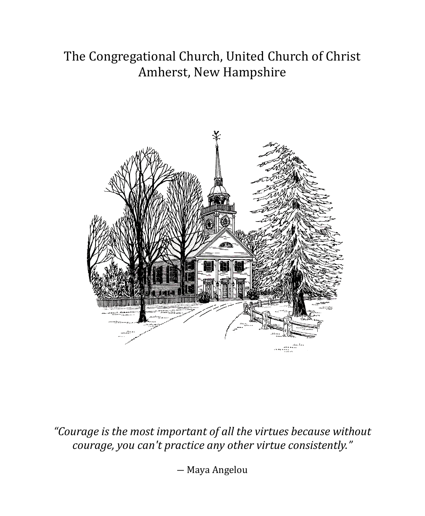# The Congregational Church, United Church of Christ Amherst, New Hampshire



*"Courage is the most important of all the virtues because without courage, you can't practice any other virtue consistently."*

― Maya Angelou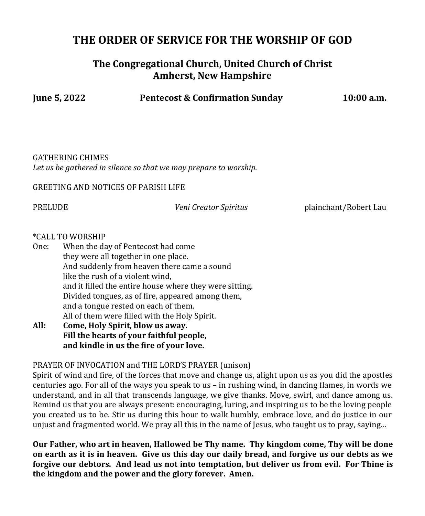# **THE ORDER OF SERVICE FOR THE WORSHIP OF GOD**

## **The Congregational Church, United Church of Christ Amherst, New Hampshire**

**June 5, 2022 Pentecost & Confirmation Sunday 10:00 a.m.**

GATHERING CHIMES *Let us be gathered in silence so that we may prepare to worship.*

GREETING AND NOTICES OF PARISH LIFE

PRELUDE *Veni Creator Spiritus* plainchant/Robert Lau

#### \*CALL TO WORSHIP

- One: When the day of Pentecost had come they were all together in one place. And suddenly from heaven there came a sound like the rush of a violent wind, and it filled the entire house where they were sitting. Divided tongues, as of fire, appeared among them, and a tongue rested on each of them. All of them were filled with the Holy Spirit.
- **All: Come, Holy Spirit, blow us away. Fill the hearts of your faithful people, and kindle in us the fire of your love.**

#### PRAYER OF INVOCATION and THE LORD'S PRAYER (unison)

Spirit of wind and fire, of the forces that move and change us, alight upon us as you did the apostles centuries ago. For all of the ways you speak to us – in rushing wind, in dancing flames, in words we understand, and in all that transcends language, we give thanks. Move, swirl, and dance among us. Remind us that you are always present: encouraging, luring, and inspiring us to be the loving people you created us to be. Stir us during this hour to walk humbly, embrace love, and do justice in our unjust and fragmented world. We pray all this in the name of Jesus, who taught us to pray, saying…

**Our Father, who art in heaven, Hallowed be Thy name. Thy kingdom come, Thy will be done on earth as it is in heaven. Give us this day our daily bread, and forgive us our debts as we forgive our debtors. And lead us not into temptation, but deliver us from evil. For Thine is the kingdom and the power and the glory forever. Amen.**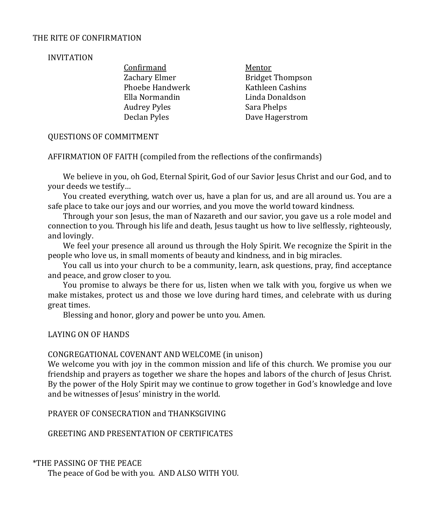#### THE RITE OF CONFIRMATION

#### INVITATION

Confirmand Mentor Phoebe Handwerk Kathleen Cashins Ella Normandin Linda Donaldson Audrey Pyles Sara Phelps Declan Pyles Dave Hagerstrom

Zachary Elmer Bridget Thompson

#### QUESTIONS OF COMMITMENT

AFFIRMATION OF FAITH (compiled from the reflections of the confirmands)

We believe in you, oh God, Eternal Spirit, God of our Savior Jesus Christ and our God, and to your deeds we testify…

You created everything, watch over us, have a plan for us, and are all around us. You are a safe place to take our joys and our worries, and you move the world toward kindness.

Through your son Jesus, the man of Nazareth and our savior, you gave us a role model and connection to you. Through his life and death, Jesus taught us how to live selflessly, righteously, and lovingly.

We feel your presence all around us through the Holy Spirit. We recognize the Spirit in the people who love us, in small moments of beauty and kindness, and in big miracles.

You call us into your church to be a community, learn, ask questions, pray, find acceptance and peace, and grow closer to you.

You promise to always be there for us, listen when we talk with you, forgive us when we make mistakes, protect us and those we love during hard times, and celebrate with us during great times.

Blessing and honor, glory and power be unto you. Amen.

#### LAYING ON OF HANDS

#### CONGREGATIONAL COVENANT AND WELCOME (in unison)

We welcome you with joy in the common mission and life of this church. We promise you our friendship and prayers as together we share the hopes and labors of the church of Jesus Christ. By the power of the Holy Spirit may we continue to grow together in God's knowledge and love and be witnesses of Jesus' ministry in the world.

PRAYER OF CONSECRATION and THANKSGIVING

GREETING AND PRESENTATION OF CERTIFICATES

\*THE PASSING OF THE PEACE

The peace of God be with you. AND ALSO WITH YOU.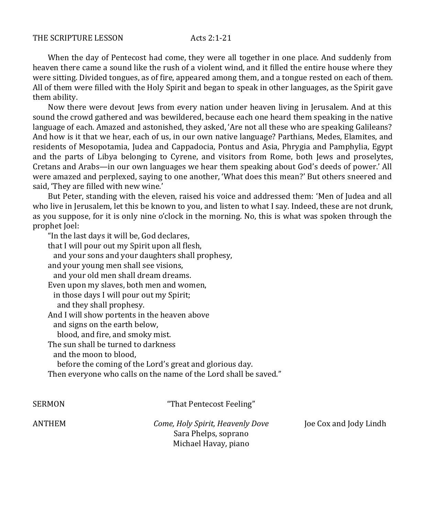When the day of Pentecost had come, they were all together in one place. And suddenly from heaven there came a sound like the rush of a violent wind, and it filled the entire house where they were sitting. Divided tongues, as of fire, appeared among them, and a tongue rested on each of them. All of them were filled with the Holy Spirit and began to speak in other languages, as the Spirit gave them ability.

Now there were devout Jews from every nation under heaven living in Jerusalem. And at this sound the crowd gathered and was bewildered, because each one heard them speaking in the native language of each. Amazed and astonished, they asked, 'Are not all these who are speaking Galileans? And how is it that we hear, each of us, in our own native language? Parthians, Medes, Elamites, and residents of Mesopotamia, Judea and Cappadocia, Pontus and Asia, Phrygia and Pamphylia, Egypt and the parts of Libya belonging to Cyrene, and visitors from Rome, both Jews and proselytes, Cretans and Arabs—in our own languages we hear them speaking about God's deeds of power.' All were amazed and perplexed, saying to one another, 'What does this mean?' But others sneered and said, 'They are filled with new wine.'

But Peter, standing with the eleven, raised his voice and addressed them: 'Men of Judea and all who live in Jerusalem, let this be known to you, and listen to what I say. Indeed, these are not drunk, as you suppose, for it is only nine o'clock in the morning. No, this is what was spoken through the prophet Joel:

"In the last days it will be, God declares, that I will pour out my Spirit upon all flesh, and your sons and your daughters shall prophesy, and your young men shall see visions, and your old men shall dream dreams. Even upon my slaves, both men and women, in those days I will pour out my Spirit; and they shall prophesy. And I will show portents in the heaven above and signs on the earth below, blood, and fire, and smoky mist. The sun shall be turned to darkness and the moon to blood, before the coming of the Lord's great and glorious day. Then everyone who calls on the name of the Lord shall be saved."

SERMON That Pentecost Feeling"

ANTHEM *Come, Holy Spirit, Heavenly Dove* Joe Cox and Jody Lindh Sara Phelps, soprano Michael Havay, piano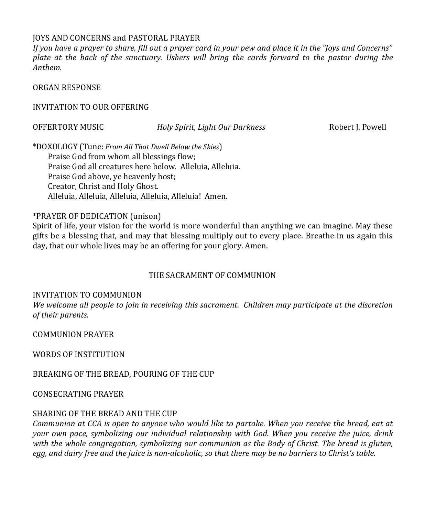#### JOYS AND CONCERNS and PASTORAL PRAYER

*If you have a prayer to share, fill out a prayer card in your pew and place it in the "Joys and Concerns" plate at the back of the sanctuary. Ushers will bring the cards forward to the pastor during the Anthem.*

ORGAN RESPONSE

INVITATION TO OUR OFFERING

OFFERTORY MUSIC *Holy Spirit, Light Our Darkness* Robert J. Powell

\*DOXOLOGY (Tune: *From All That Dwell Below the Skies*) Praise God from whom all blessings flow; Praise God all creatures here below. Alleluia, Alleluia. Praise God above, ye heavenly host; Creator, Christ and Holy Ghost. Alleluia, Alleluia, Alleluia, Alleluia, Alleluia! Amen.

#### \*PRAYER OF DEDICATION (unison)

Spirit of life, your vision for the world is more wonderful than anything we can imagine. May these gifts be a blessing that, and may that blessing multiply out to every place. Breathe in us again this day, that our whole lives may be an offering for your glory. Amen.

#### THE SACRAMENT OF COMMUNION

#### INVITATION TO COMMUNION

*We welcome all people to join in receiving this sacrament. Children may participate at the discretion of their parents.*

COMMUNION PRAYER

WORDS OF INSTITUTION

BREAKING OF THE BREAD, POURING OF THE CUP

CONSECRATING PRAYER

#### SHARING OF THE BREAD AND THE CUP

*Communion at CCA is open to anyone who would like to partake. When you receive the bread, eat at your own pace, symbolizing our individual relationship with God. When you receive the juice, drink with the whole congregation, symbolizing our communion as the Body of Christ. The bread is gluten, egg, and dairy free and the juice is non-alcoholic, so that there may be no barriers to Christ's table.*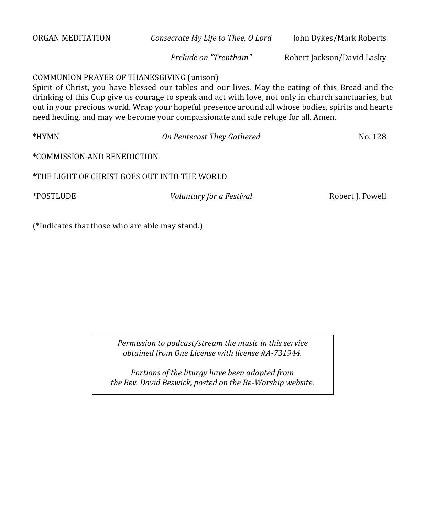| ORGAN MEDITATION                             | Consecrate My Life to Thee, O Lord                                                                                                                                                                                                                                                                                                                                                                   | John Dykes/Mark Roberts    |
|----------------------------------------------|------------------------------------------------------------------------------------------------------------------------------------------------------------------------------------------------------------------------------------------------------------------------------------------------------------------------------------------------------------------------------------------------------|----------------------------|
|                                              | Prelude on "Trentham"                                                                                                                                                                                                                                                                                                                                                                                | Robert Jackson/David Lasky |
| COMMUNION PRAYER OF THANKSGIVING (unison)    | Spirit of Christ, you have blessed our tables and our lives. May the eating of this Bread and the<br>drinking of this Cup give us courage to speak and act with love, not only in church sanctuaries, but<br>out in your precious world. Wrap your hopeful presence around all whose bodies, spirits and hearts<br>need healing, and may we become your compassionate and safe refuge for all. Amen. |                            |
| *HYMN                                        | On Pentecost They Gathered                                                                                                                                                                                                                                                                                                                                                                           | No. 128                    |
| *COMMISSION AND BENEDICTION                  |                                                                                                                                                                                                                                                                                                                                                                                                      |                            |
| *THE LIGHT OF CHRIST GOES OUT INTO THE WORLD |                                                                                                                                                                                                                                                                                                                                                                                                      |                            |
| *POSTLUDE                                    | Voluntary for a Festival                                                                                                                                                                                                                                                                                                                                                                             | Robert J. Powell           |
|                                              |                                                                                                                                                                                                                                                                                                                                                                                                      |                            |

(\*Indicates that those who are able may stand.)

*Permission to podcast/stream the music in this service obtained from One License with license #A-731944.*

*Portions of the liturgy have been adapted from the Rev. David Beswick, posted on the Re-Worship website.*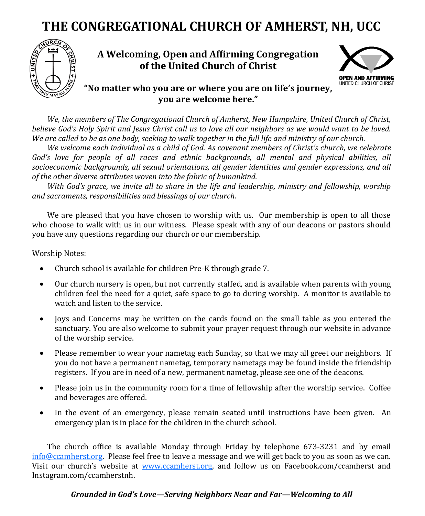# **THE CONGREGATIONAL CHURCH OF AMHERST, NH, UCC**



## **A Welcoming, Open and Affirming Congregation of the United Church of Christ**



### **"No matter who you are or where you are on life's journey, you are welcome here."**

*We, the members of The Congregational Church of Amherst, New Hampshire, United Church of Christ, believe God's Holy Spirit and Jesus Christ call us to love all our neighbors as we would want to be loved. We are called to be as one body, seeking to walk together in the full life and ministry of our church.*

*We welcome each individual as a child of God. As covenant members of Christ's church, we celebrate God's love for people of all races and ethnic backgrounds, all mental and physical abilities, all socioeconomic backgrounds, all sexual orientations, all gender identities and gender expressions, and all of the other diverse attributes woven into the fabric of humankind.*

*With God's grace, we invite all to share in the life and leadership, ministry and fellowship, worship and sacraments, responsibilities and blessings of our church.* 

We are pleased that you have chosen to worship with us. Our membership is open to all those who choose to walk with us in our witness. Please speak with any of our deacons or pastors should you have any questions regarding our church or our membership.

Worship Notes:

- Church school is available for children Pre-K through grade 7.
- Our church nursery is open, but not currently staffed, and is available when parents with young children feel the need for a quiet, safe space to go to during worship. A monitor is available to watch and listen to the service.
- Joys and Concerns may be written on the cards found on the small table as you entered the sanctuary. You are also welcome to submit your prayer request through our website in advance of the worship service.
- Please remember to wear your nametag each Sunday, so that we may all greet our neighbors. If you do not have a permanent nametag, temporary nametags may be found inside the friendship registers. If you are in need of a new, permanent nametag, please see one of the deacons.
- Please join us in the community room for a time of fellowship after the worship service. Coffee and beverages are offered.
- In the event of an emergency, please remain seated until instructions have been given. An emergency plan is in place for the children in the church school.

The church office is available Monday through Friday by telephone 673-3231 and by email  $info@camherst.org.$  Please feel free to leave a message and we will get back to you as soon as we can. Visit our church's website at [www.ccamherst.org,](http://www.ccamherst.org) and follow us on Facebook.com/ccamherst and Instagram.com/ccamherstnh.

#### *Grounded in God's Love—Serving Neighbors Near and Far—Welcoming to All*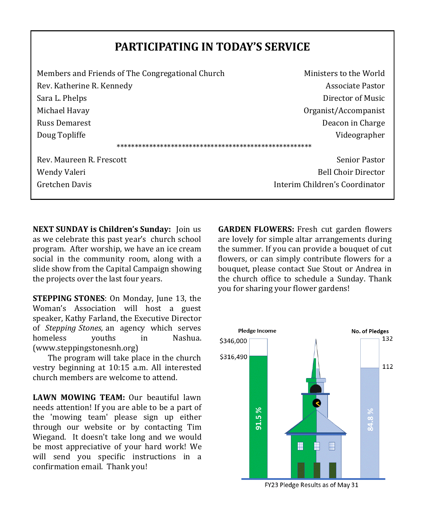# **PARTICIPATING IN TODAY'S SERVICE**

| Members and Friends of The Congregational Church | Ministers to the World         |  |  |  |  |
|--------------------------------------------------|--------------------------------|--|--|--|--|
| Rev. Katherine R. Kennedy                        | Associate Pastor               |  |  |  |  |
| Sara L. Phelps                                   | Director of Music              |  |  |  |  |
| Michael Havay                                    | Organist/Accompanist           |  |  |  |  |
| <b>Russ Demarest</b>                             | Deacon in Charge               |  |  |  |  |
| Doug Topliffe                                    | Videographer                   |  |  |  |  |
|                                                  |                                |  |  |  |  |
| Rev. Maureen R. Frescott                         | Senior Pastor                  |  |  |  |  |
| Wendy Valeri                                     | <b>Bell Choir Director</b>     |  |  |  |  |
| Gretchen Davis                                   | Interim Children's Coordinator |  |  |  |  |
|                                                  |                                |  |  |  |  |

**NEXT SUNDAY is Children's Sunday:** Join us as we celebrate this past year's church school program. After worship, we have an ice cream social in the community room, along with a slide show from the Capital Campaign showing the projects over the last four years.

**STEPPING STONES**: On Monday, June 13, the Woman's Association will host a guest speaker, Kathy Farland, the Executive Director of *Stepping Stones,* an agency which serves homeless youths in Nashua. (www.steppingstonesnh.org)

The program will take place in the church vestry beginning at 10:15 a.m. All interested church members are welcome to attend.

**LAWN MOWING TEAM:** Our beautiful lawn needs attention! If you are able to be a part of the 'mowing team' please sign up either through our website or by contacting Tim Wiegand. It doesn't take long and we would be most appreciative of your hard work! We will send you specific instructions in a confirmation email. Thank you!

**GARDEN FLOWERS:** Fresh cut garden flowers are lovely for simple altar arrangements during the summer. If you can provide a bouquet of cut flowers, or can simply contribute flowers for a bouquet, please contact Sue Stout or Andrea in the church office to schedule a Sunday. Thank you for sharing your flower gardens!

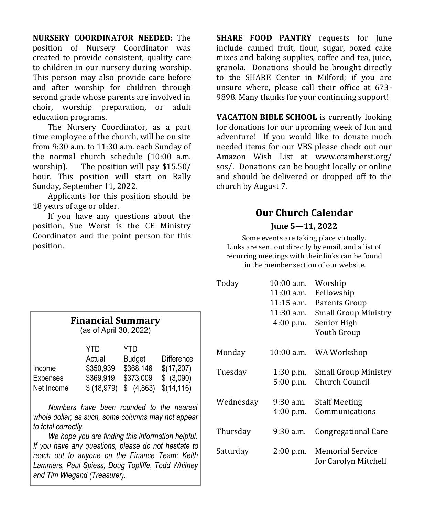**NURSERY COORDINATOR NEEDED:** The position of Nursery Coordinator was created to provide consistent, quality care to children in our nursery during worship. This person may also provide care before and after worship for children through second grade whose parents are involved in choir, worship preparation, or adult education programs.

The Nursery Coordinator, as a part time employee of the church, will be on site from 9:30 a.m. to 11:30 a.m. each Sunday of the normal church schedule (10:00 a.m. worship). The position will pay \$15.50/ hour. This position will start on Rally Sunday, September 11, 2022.

Applicants for this position should be 18 years of age or older.

If you have any questions about the position, Sue Werst is the CE Ministry Coordinator and the point person for this position.

**SHARE FOOD PANTRY** requests for June include canned fruit, flour, sugar, boxed cake mixes and baking supplies, coffee and tea, juice, granola. Donations should be brought directly to the SHARE Center in Milford; if you are unsure where, please call their office at 673- 9898. Many thanks for your continuing support!

**VACATION BIBLE SCHOOL** is currently looking for donations for our upcoming week of fun and adventure! If you would like to donate much needed items for our VBS please check out our Amazon Wish List at www.ccamherst.org/ sos/. Donations can be bought locally or online and should be delivered or dropped off to the church by August 7.

## **Our Church Calendar June 5—11, 2022**

Some events are taking place virtually. Links are sent out directly by email, and a list of recurring meetings with their links can be found in the member section of our website.

| Today     | $10:00$ a.m.<br>$11:00$ a.m.<br>$11:15$ a.m.<br>$11:30$ a.m.<br>$4:00$ p.m. | Worship<br>Fellowship<br>Parents Group<br>Small Group Ministry<br>Senior High<br>Youth Group |
|-----------|-----------------------------------------------------------------------------|----------------------------------------------------------------------------------------------|
| Monday    | $10:00$ a.m.                                                                | WA Workshop                                                                                  |
| Tuesdav   | 1:30 p.m.<br>$5:00$ p.m.                                                    | <b>Small Group Ministry</b><br>Church Council                                                |
| Wednesday | $9:30$ a.m.<br>4:00 p.m.                                                    | <b>Staff Meeting</b><br>Communications                                                       |
| Thursday  | 9:30 a.m.                                                                   | Congregational Care                                                                          |
| Saturday  | $2:00$ p.m.                                                                 | <b>Memorial Service</b><br>for Carolyn Mitchell                                              |

| 1 111011101011 D'01111111011 (<br>(as of April 30, 2022) |            |               |             |  |
|----------------------------------------------------------|------------|---------------|-------------|--|
|                                                          | YTD        | YTD           |             |  |
|                                                          | Actual     | <b>Budget</b> | Difference  |  |
| Income                                                   | \$350,939  | \$368,146     | \$(17,207)  |  |
| Expenses                                                 | \$369,919  | \$373,009     | \$ (3,090)  |  |
| Net Income                                               | \$(18,979) | (4,863)<br>\$ | \$(14, 116) |  |

**Financial Summary**

*Numbers have been rounded to the nearest whole dollar; as such, some columns may not appear to total correctly.*

*We hope you are finding this information helpful. If you have any questions, please do not hesitate to reach out to anyone on the Finance Team: Keith Lammers, Paul Spiess, Doug Topliffe, Todd Whitney and Tim Wiegand (Treasurer).*